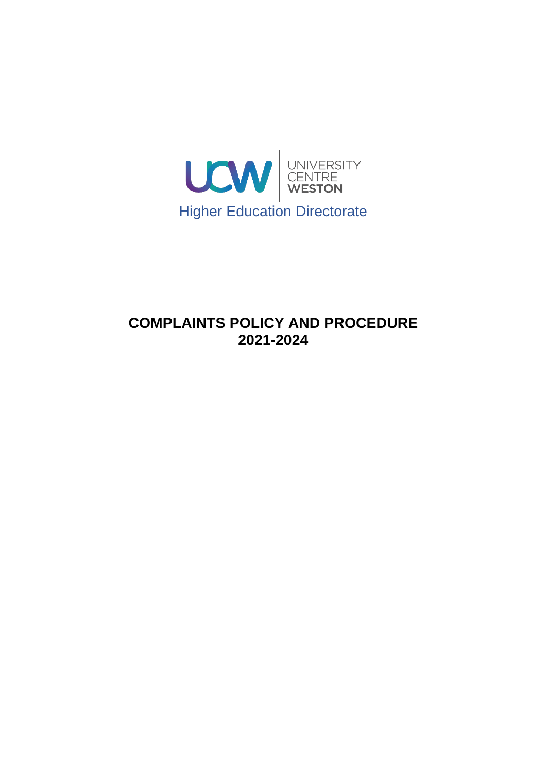

# **COMPLAINTS POLICY AND PROCEDURE 2021-2024**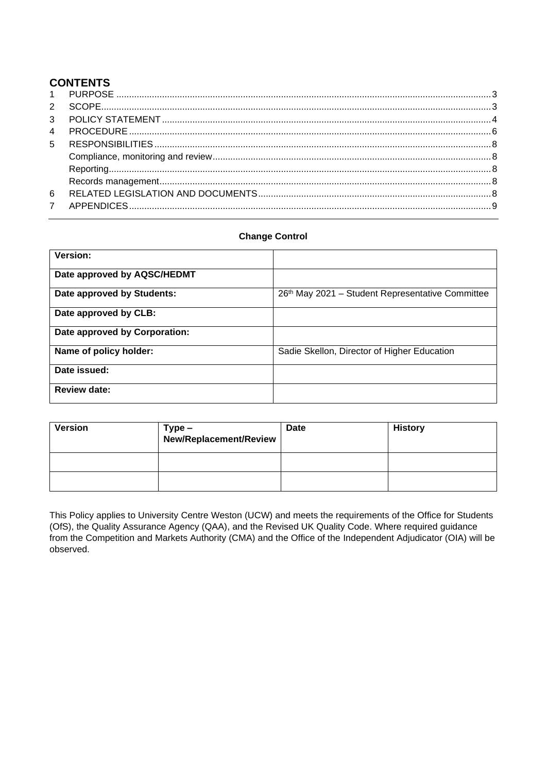## **CONTENTS**

#### **Change Control**

| <b>Version:</b>               |                                                  |
|-------------------------------|--------------------------------------------------|
| Date approved by AQSC/HEDMT   |                                                  |
| Date approved by Students:    | 26th May 2021 - Student Representative Committee |
| Date approved by CLB:         |                                                  |
| Date approved by Corporation: |                                                  |
| Name of policy holder:        | Sadie Skellon, Director of Higher Education      |
| Date issued:                  |                                                  |
| <b>Review date:</b>           |                                                  |

| <b>Version</b> | $Type -$<br>New/Replacement/Review | Date | <b>History</b> |
|----------------|------------------------------------|------|----------------|
|                |                                    |      |                |
|                |                                    |      |                |

This Policy applies to University Centre Weston (UCW) and meets the requirements of the Office for Students (OfS), the Quality Assurance Agency (QAA), and the Revised UK Quality Code. Where required guidance from the Competition and Markets Authority (CMA) and the Office of the Independent Adjudicator (OIA) will be observed.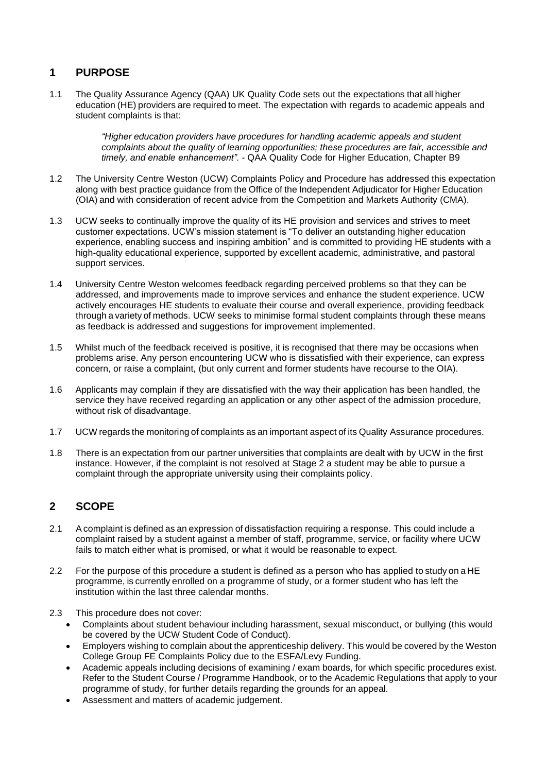## <span id="page-2-0"></span>**1 PURPOSE**

1.1 The Quality Assurance Agency (QAA) UK Quality Code sets out the expectations that all higher education (HE) providers are required to meet. The expectation with regards to academic appeals and student complaints is that:

> *"Higher education providers have procedures for handling academic appeals and student complaints about the quality of learning opportunities; these procedures are fair, accessible and timely, and enable enhancement". -* QAA Quality Code for Higher Education, Chapter B9

- 1.2 The University Centre Weston (UCW) Complaints Policy and Procedure has addressed this expectation along with best practice guidance from the Office of the Independent Adjudicator for Higher Education (OIA) and with consideration of recent advice from the Competition and Markets Authority (CMA).
- 1.3 UCW seeks to continually improve the quality of its HE provision and services and strives to meet customer expectations. UCW's mission statement is "To deliver an outstanding higher education experience, enabling success and inspiring ambition" and is committed to providing HE students with a high-quality educational experience, supported by excellent academic, administrative, and pastoral support services.
- 1.4 University Centre Weston welcomes feedback regarding perceived problems so that they can be addressed, and improvements made to improve services and enhance the student experience. UCW actively encourages HE students to evaluate their course and overall experience, providing feedback through a variety of methods. UCW seeks to minimise formal student complaints through these means as feedback is addressed and suggestions for improvement implemented.
- 1.5 Whilst much of the feedback received is positive, it is recognised that there may be occasions when problems arise. Any person encountering UCW who is dissatisfied with their experience, can express concern, or raise a complaint, (but only current and former students have recourse to the OIA).
- 1.6 Applicants may complain if they are dissatisfied with the way their application has been handled, the service they have received regarding an application or any other aspect of the admission procedure, without risk of disadvantage.
- 1.7 UCW regards the monitoring of complaints as an important aspect of its Quality Assurance procedures.
- 1.8 There is an expectation from our partner universities that complaints are dealt with by UCW in the first instance. However, if the complaint is not resolved at Stage 2 a student may be able to pursue a complaint through the appropriate university using their complaints policy.

## <span id="page-2-1"></span>**2 SCOPE**

- 2.1 A complaint is defined as an expression of dissatisfaction requiring a response. This could include a complaint raised by a student against a member of staff, programme, service, or facility where UCW fails to match either what is promised, or what it would be reasonable to expect.
- 2.2 For the purpose of this procedure a student is defined as a person who has applied to study on a HE programme, is currently enrolled on a programme of study, or a former student who has left the institution within the last three calendar months.
- 2.3 This procedure does not cover:
	- Complaints about student behaviour including harassment, sexual misconduct, or bullying (this would be covered by the UCW Student Code of Conduct).
	- Employers wishing to complain about the apprenticeship delivery. This would be covered by the Weston College Group FE Complaints Policy due to the ESFA/Levy Funding.
	- Academic appeals including decisions of examining / exam boards, for which specific procedures exist. Refer to the Student Course / Programme Handbook, or to the Academic Regulations that apply to your programme of study, for further details regarding the grounds for an appeal.
	- Assessment and matters of academic judgement.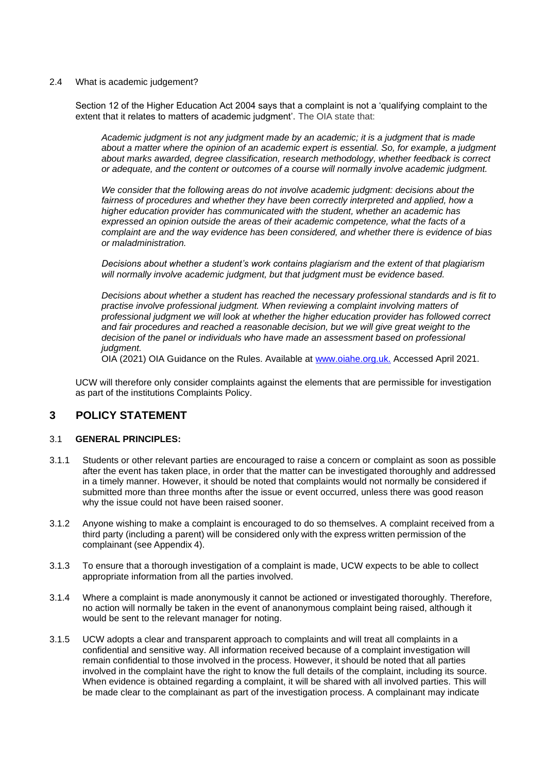#### 2.4 What is academic judgement?

Section 12 of the Higher Education Act 2004 says that a complaint is not a 'qualifying complaint to the extent that it relates to matters of academic judgment'. The OIA state that:

*Academic judgment is not any judgment made by an academic; it is a judgment that is made about a matter where the opinion of an academic expert is essential. So, for example, a judgment about marks awarded, degree classification, research methodology, whether feedback is correct or adequate, and the content or outcomes of a course will normally involve academic judgment.*

*We consider that the following areas do not involve academic judgment: decisions about the*  fairness of procedures and whether they have been correctly interpreted and applied, how a *higher education provider has communicated with the student, whether an academic has expressed an opinion outside the areas of their academic competence, what the facts of a complaint are and the way evidence has been considered, and whether there is evidence of bias or maladministration.*

*Decisions about whether a student's work contains plagiarism and the extent of that plagiarism will normally involve academic judgment, but that judgment must be evidence based.*

*Decisions about whether a student has reached the necessary professional standards and is fit to practise involve professional judgment. When reviewing a complaint involving matters of professional judgment we will look at whether the higher education provider has followed correct and fair procedures and reached a reasonable decision, but we will give great weight to the*  decision of the panel or individuals who have made an assessment based on professional *judgment.*

OIA (2021) OIA Guidance on the Rules. Available at [www.oiahe.org.uk.](http://www.oiahe.org.uk./) Accessed April 2021.

UCW will therefore only consider complaints against the elements that are permissible for investigation as part of the institutions Complaints Policy.

#### <span id="page-3-0"></span>**3 POLICY STATEMENT**

#### 3.1 **GENERAL PRINCIPLES:**

- 3.1.1 Students or other relevant parties are encouraged to raise a concern or complaint as soon as possible after the event has taken place, in order that the matter can be investigated thoroughly and addressed in a timely manner. However, it should be noted that complaints would not normally be considered if submitted more than three months after the issue or event occurred, unless there was good reason why the issue could not have been raised sooner.
- 3.1.2 Anyone wishing to make a complaint is encouraged to do so themselves. A complaint received from a third party (including a parent) will be considered only with the express written permission of the complainant (see Appendix 4).
- 3.1.3 To ensure that a thorough investigation of a complaint is made, UCW expects to be able to collect appropriate information from all the parties involved.
- 3.1.4 Where a complaint is made anonymously it cannot be actioned or investigated thoroughly. Therefore, no action will normally be taken in the event of ananonymous complaint being raised, although it would be sent to the relevant manager for noting.
- 3.1.5 UCW adopts a clear and transparent approach to complaints and will treat all complaints in a confidential and sensitive way. All information received because of a complaint investigation will remain confidential to those involved in the process. However, it should be noted that all parties involved in the complaint have the right to know the full details of the complaint, including its source. When evidence is obtained regarding a complaint, it will be shared with all involved parties. This will be made clear to the complainant as part of the investigation process. A complainant may indicate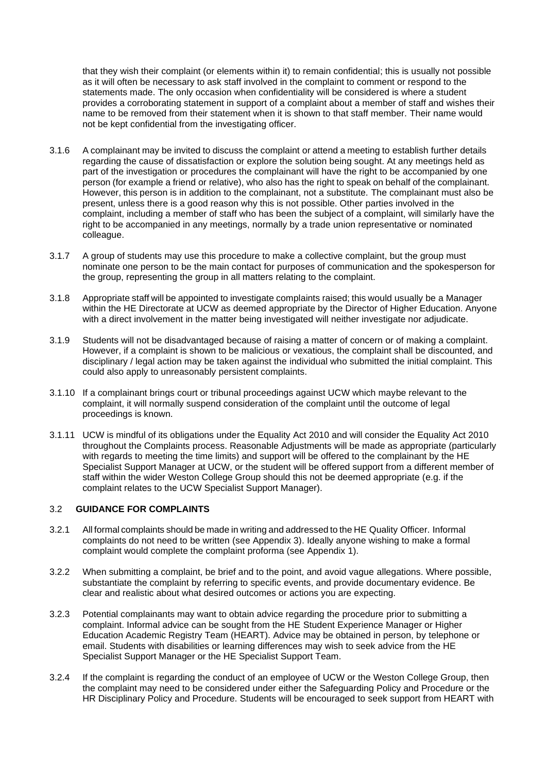that they wish their complaint (or elements within it) to remain confidential; this is usually not possible as it will often be necessary to ask staff involved in the complaint to comment or respond to the statements made. The only occasion when confidentiality will be considered is where a student provides a corroborating statement in support of a complaint about a member of staff and wishes their name to be removed from their statement when it is shown to that staff member. Their name would not be kept confidential from the investigating officer.

- 3.1.6 A complainant may be invited to discuss the complaint or attend a meeting to establish further details regarding the cause of dissatisfaction or explore the solution being sought. At any meetings held as part of the investigation or procedures the complainant will have the right to be accompanied by one person (for example a friend or relative), who also has the right to speak on behalf of the complainant. However, this person is in addition to the complainant, not a substitute. The complainant must also be present, unless there is a good reason why this is not possible. Other parties involved in the complaint, including a member of staff who has been the subject of a complaint, will similarly have the right to be accompanied in any meetings, normally by a trade union representative or nominated colleague.
- 3.1.7 A group of students may use this procedure to make a collective complaint, but the group must nominate one person to be the main contact for purposes of communication and the spokesperson for the group, representing the group in all matters relating to the complaint.
- 3.1.8 Appropriate staff will be appointed to investigate complaints raised; this would usually be a Manager within the HE Directorate at UCW as deemed appropriate by the Director of Higher Education. Anyone with a direct involvement in the matter being investigated will neither investigate nor adjudicate.
- 3.1.9 Students will not be disadvantaged because of raising a matter of concern or of making a complaint. However, if a complaint is shown to be malicious or vexatious, the complaint shall be discounted, and disciplinary / legal action may be taken against the individual who submitted the initial complaint. This could also apply to unreasonably persistent complaints.
- 3.1.10 If a complainant brings court or tribunal proceedings against UCW which maybe relevant to the complaint, it will normally suspend consideration of the complaint until the outcome of legal proceedings is known.
- 3.1.11 UCW is mindful of its obligations under the Equality Act 2010 and will consider the Equality Act 2010 throughout the Complaints process. Reasonable Adjustments will be made as appropriate (particularly with regards to meeting the time limits) and support will be offered to the complainant by the HE Specialist Support Manager at UCW, or the student will be offered support from a different member of staff within the wider Weston College Group should this not be deemed appropriate (e.g. if the complaint relates to the UCW Specialist Support Manager).

#### 3.2 **GUIDANCE FOR COMPLAINTS**

- 3.2.1 All formal complaints should be made in writing and addressed to the HE Quality Officer. Informal complaints do not need to be written (see Appendix 3). Ideally anyone wishing to make a formal complaint would complete the complaint proforma (see Appendix 1).
- 3.2.2 When submitting a complaint, be brief and to the point, and avoid vague allegations. Where possible, substantiate the complaint by referring to specific events, and provide documentary evidence. Be clear and realistic about what desired outcomes or actions you are expecting.
- 3.2.3 Potential complainants may want to obtain advice regarding the procedure prior to submitting a complaint. Informal advice can be sought from the HE Student Experience Manager or Higher Education Academic Registry Team (HEART). Advice may be obtained in person, by telephone or email. Students with disabilities or learning differences may wish to seek advice from the HE Specialist Support Manager or the HE Specialist Support Team.
- 3.2.4 If the complaint is regarding the conduct of an employee of UCW or the Weston College Group, then the complaint may need to be considered under either the Safeguarding Policy and Procedure or the HR Disciplinary Policy and Procedure. Students will be encouraged to seek support from HEART with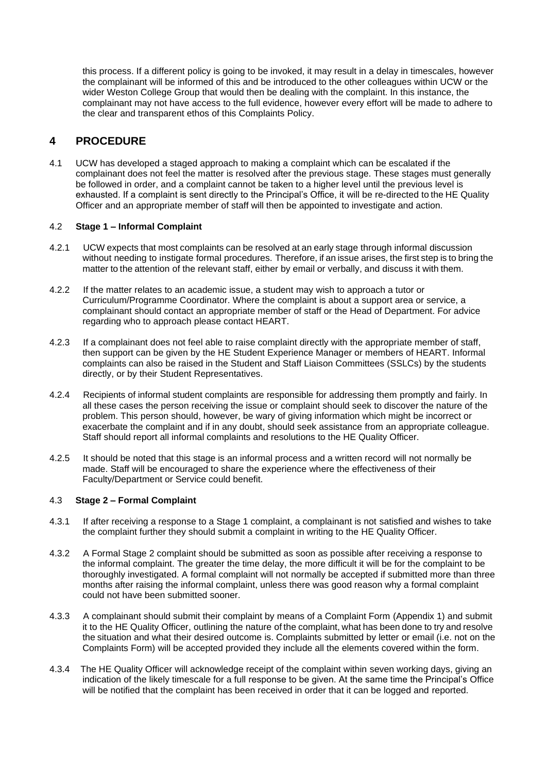this process. If a different policy is going to be invoked, it may result in a delay in timescales, however the complainant will be informed of this and be introduced to the other colleagues within UCW or the wider Weston College Group that would then be dealing with the complaint. In this instance, the complainant may not have access to the full evidence, however every effort will be made to adhere to the clear and transparent ethos of this Complaints Policy.

#### <span id="page-5-0"></span>**4 PROCEDURE**

4.1 UCW has developed a staged approach to making a complaint which can be escalated if the complainant does not feel the matter is resolved after the previous stage. These stages must generally be followed in order, and a complaint cannot be taken to a higher level until the previous level is exhausted. If a complaint is sent directly to the Principal's Office, it will be re-directed to the HE Quality Officer and an appropriate member of staff will then be appointed to investigate and action.

#### 4.2 **Stage 1 – Informal Complaint**

- 4.2.1 UCW expects that most complaints can be resolved at an early stage through informal discussion without needing to instigate formal procedures. Therefore, if an issue arises, the first step is to bring the matter to the attention of the relevant staff, either by email or verbally, and discuss it with them.
- 4.2.2 If the matter relates to an academic issue, a student may wish to approach a tutor or Curriculum/Programme Coordinator. Where the complaint is about a support area or service, a complainant should contact an appropriate member of staff or the Head of Department. For advice regarding who to approach please contact HEART.
- 4.2.3 If a complainant does not feel able to raise complaint directly with the appropriate member of staff, then support can be given by the HE Student Experience Manager or members of HEART. Informal complaints can also be raised in the Student and Staff Liaison Committees (SSLCs) by the students directly, or by their Student Representatives.
- 4.2.4 Recipients of informal student complaints are responsible for addressing them promptly and fairly. In all these cases the person receiving the issue or complaint should seek to discover the nature of the problem. This person should, however, be wary of giving information which might be incorrect or exacerbate the complaint and if in any doubt, should seek assistance from an appropriate colleague. Staff should report all informal complaints and resolutions to the HE Quality Officer.
- 4.2.5 It should be noted that this stage is an informal process and a written record will not normally be made. Staff will be encouraged to share the experience where the effectiveness of their Faculty/Department or Service could benefit.

#### 4.3 **Stage 2 – Formal Complaint**

- 4.3.1 If after receiving a response to a Stage 1 complaint, a complainant is not satisfied and wishes to take the complaint further they should submit a complaint in writing to the HE Quality Officer.
- 4.3.2 A Formal Stage 2 complaint should be submitted as soon as possible after receiving a response to the informal complaint. The greater the time delay, the more difficult it will be for the complaint to be thoroughly investigated. A formal complaint will not normally be accepted if submitted more than three months after raising the informal complaint, unless there was good reason why a formal complaint could not have been submitted sooner.
- 4.3.3 A complainant should submit their complaint by means of a Complaint Form (Appendix 1) and submit it to the HE Quality Officer, outlining the nature of the complaint, what has been done to try and resolve the situation and what their desired outcome is. Complaints submitted by letter or email (i.e. not on the Complaints Form) will be accepted provided they include all the elements covered within the form.
- 4.3.4 The HE Quality Officer will acknowledge receipt of the complaint within seven working days, giving an indication of the likely timescale for a full response to be given. At the same time the Principal's Office will be notified that the complaint has been received in order that it can be logged and reported.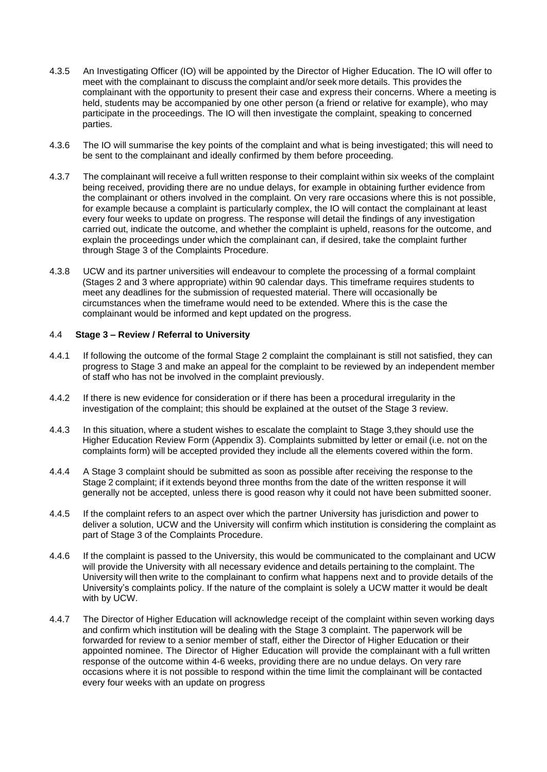- 4.3.5 An Investigating Officer (IO) will be appointed by the Director of Higher Education. The IO will offer to meet with the complainant to discuss the complaint and/or seek more details. This provides the complainant with the opportunity to present their case and express their concerns. Where a meeting is held, students may be accompanied by one other person (a friend or relative for example), who may participate in the proceedings. The IO will then investigate the complaint, speaking to concerned parties.
- 4.3.6 The IO will summarise the key points of the complaint and what is being investigated; this will need to be sent to the complainant and ideally confirmed by them before proceeding.
- 4.3.7 The complainant will receive a full written response to their complaint within six weeks of the complaint being received, providing there are no undue delays, for example in obtaining further evidence from the complainant or others involved in the complaint. On very rare occasions where this is not possible, for example because a complaint is particularly complex, the IO will contact the complainant at least every four weeks to update on progress. The response will detail the findings of any investigation carried out, indicate the outcome, and whether the complaint is upheld, reasons for the outcome, and explain the proceedings under which the complainant can, if desired, take the complaint further through Stage 3 of the Complaints Procedure.
- 4.3.8 UCW and its partner universities will endeavour to complete the processing of a formal complaint (Stages 2 and 3 where appropriate) within 90 calendar days. This timeframe requires students to meet any deadlines for the submission of requested material. There will occasionally be circumstances when the timeframe would need to be extended. Where this is the case the complainant would be informed and kept updated on the progress.

#### 4.4 **Stage 3 – Review / Referral to University**

- 4.4.1 If following the outcome of the formal Stage 2 complaint the complainant is still not satisfied, they can progress to Stage 3 and make an appeal for the complaint to be reviewed by an independent member of staff who has not be involved in the complaint previously.
- 4.4.2 If there is new evidence for consideration or if there has been a procedural irregularity in the investigation of the complaint; this should be explained at the outset of the Stage 3 review.
- 4.4.3 In this situation, where a student wishes to escalate the complaint to Stage 3,they should use the Higher Education Review Form (Appendix 3). Complaints submitted by letter or email (i.e. not on the complaints form) will be accepted provided they include all the elements covered within the form.
- 4.4.4 A Stage 3 complaint should be submitted as soon as possible after receiving the response to the Stage 2 complaint; if it extends beyond three months from the date of the written response it will generally not be accepted, unless there is good reason why it could not have been submitted sooner.
- 4.4.5 If the complaint refers to an aspect over which the partner University has jurisdiction and power to deliver a solution, UCW and the University will confirm which institution is considering the complaint as part of Stage 3 of the Complaints Procedure.
- 4.4.6 If the complaint is passed to the University, this would be communicated to the complainant and UCW will provide the University with all necessary evidence and details pertaining to the complaint. The University will then write to the complainant to confirm what happens next and to provide details of the University's complaints policy. If the nature of the complaint is solely a UCW matter it would be dealt with by UCW.
- 4.4.7 The Director of Higher Education will acknowledge receipt of the complaint within seven working days and confirm which institution will be dealing with the Stage 3 complaint. The paperwork will be forwarded for review to a senior member of staff, either the Director of Higher Education or their appointed nominee. The Director of Higher Education will provide the complainant with a full written response of the outcome within 4-6 weeks, providing there are no undue delays. On very rare occasions where it is not possible to respond within the time limit the complainant will be contacted every four weeks with an update on progress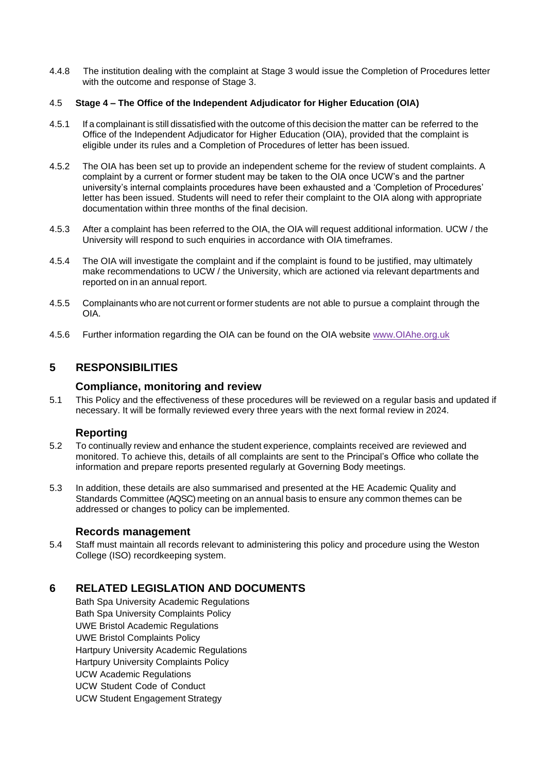4.4.8 The institution dealing with the complaint at Stage 3 would issue the Completion of Procedures letter with the outcome and response of Stage 3.

#### 4.5 **Stage 4 – The Office of the Independent Adjudicator for Higher Education (OIA)**

- 4.5.1 If a complainant is still dissatisfied with the outcome of this decision the matter can be referred to the Office of the Independent Adjudicator for Higher Education (OIA), provided that the complaint is eligible under its rules and a Completion of Procedures of letter has been issued.
- 4.5.2 The OIA has been set up to provide an independent scheme for the review of student complaints. A complaint by a current or former student may be taken to the OIA once UCW's and the partner university's internal complaints procedures have been exhausted and a 'Completion of Procedures' letter has been issued. Students will need to refer their complaint to the OIA along with appropriate documentation within three months of the final decision.
- 4.5.3 After a complaint has been referred to the OIA, the OIA will request additional information. UCW / the University will respond to such enquiries in accordance with OIA timeframes.
- 4.5.4 The OIA will investigate the complaint and if the complaint is found to be justified, may ultimately make recommendations to UCW / the University, which are actioned via relevant departments and reported on in an annual report.
- 4.5.5 Complainants who are not current or former students are not able to pursue a complaint through the OIA.
- 4.5.6 Further information regarding the OIA can be found on the OIA website [www.OIAhe.org.uk](http://www.oiahe.org.uk/)

## <span id="page-7-0"></span>**5 RESPONSIBILITIES**

#### **Compliance, monitoring and review**

<span id="page-7-1"></span>5.1 This Policy and the effectiveness of these procedures will be reviewed on a regular basis and updated if necessary. It will be formally reviewed every three years with the next formal review in 2024.

#### **Reporting**

- <span id="page-7-2"></span>5.2 To continually review and enhance the student experience, complaints received are reviewed and monitored. To achieve this, details of all complaints are sent to the Principal's Office who collate the information and prepare reports presented regularly at Governing Body meetings.
- 5.3 In addition, these details are also summarised and presented at the HE Academic Quality and Standards Committee (AQSC) meeting on an annual basis to ensure any common themes can be addressed or changes to policy can be implemented.

#### **Records management**

<span id="page-7-3"></span>5.4 Staff must maintain all records relevant to administering this policy and procedure using the Weston College (ISO) recordkeeping system.

## <span id="page-7-4"></span>**6 RELATED LEGISLATION AND DOCUMENTS**

Bath Spa University Academic Regulations Bath Spa University Complaints Policy UWE Bristol Academic Regulations UWE Bristol Complaints Policy Hartpury University Academic Regulations Hartpury University Complaints Policy UCW Academic Regulations UCW Student Code of Conduct UCW Student Engagement Strategy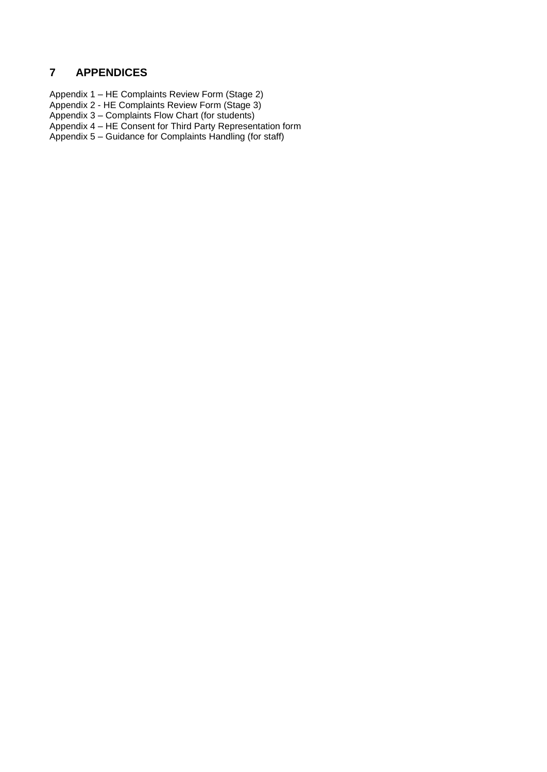## <span id="page-8-0"></span>**7 APPENDICES**

Appendix 1 – HE Complaints Review Form (Stage 2)

- Appendix 2 HE Complaints Review Form (Stage 3)
- Appendix 3 Complaints Flow Chart (for students)
- Appendix 4 HE Consent for Third Party Representation form

Appendix 5 – Guidance for Complaints Handling (for staff)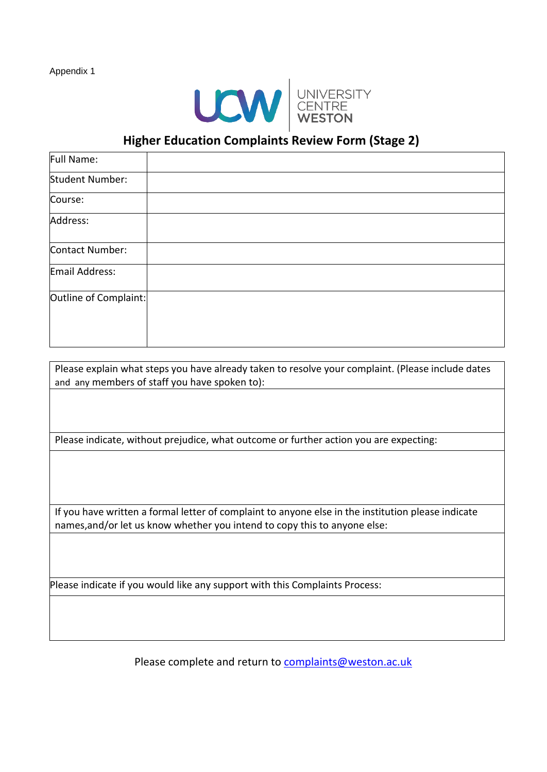

# **Higher Education Complaints Review Form (Stage 2)**

| Full Name:             |  |
|------------------------|--|
| <b>Student Number:</b> |  |
| Course:                |  |
| Address:               |  |
| Contact Number:        |  |
| Email Address:         |  |
| Outline of Complaint:  |  |

| Please explain what steps you have already taken to resolve your complaint. (Please include dates  |
|----------------------------------------------------------------------------------------------------|
| and any members of staff you have spoken to):                                                      |
|                                                                                                    |
|                                                                                                    |
|                                                                                                    |
|                                                                                                    |
| Please indicate, without prejudice, what outcome or further action you are expecting:              |
|                                                                                                    |
|                                                                                                    |
|                                                                                                    |
|                                                                                                    |
|                                                                                                    |
| If you have written a formal letter of complaint to anyone else in the institution please indicate |
| names, and/or let us know whether you intend to copy this to anyone else:                          |
|                                                                                                    |
|                                                                                                    |
|                                                                                                    |
|                                                                                                    |
|                                                                                                    |
| Please indicate if you would like any support with this Complaints Process:                        |

Please complete and return to [complaints@weston.ac.uk](mailto:complaints@weston.ac.uk)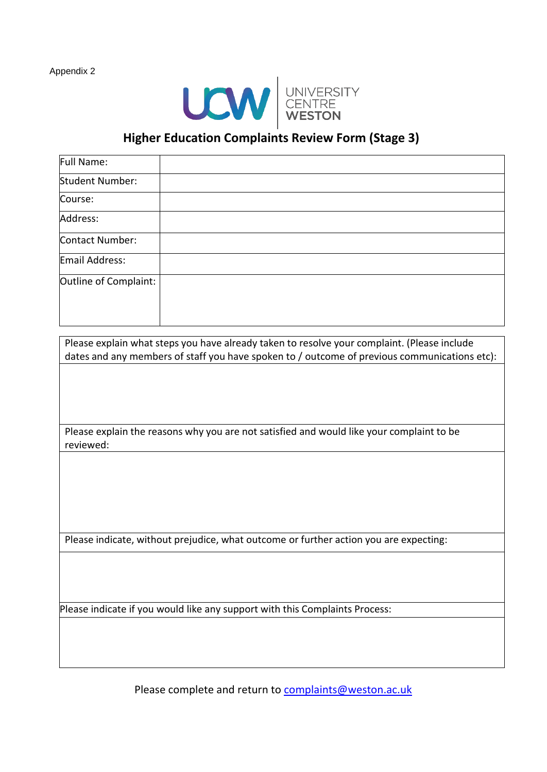

## **Higher Education Complaints Review Form (Stage 3)**

| Full Name:            |  |
|-----------------------|--|
| Student Number:       |  |
| Course:               |  |
| Address:              |  |
| Contact Number:       |  |
| Email Address:        |  |
| Outline of Complaint: |  |

Please explain what steps you have already taken to resolve your complaint. (Please include dates and any members of staff you have spoken to / outcome of previous communications etc):

Please explain the reasons why you are not satisfied and would like your complaint to be reviewed:

Please indicate, without prejudice, what outcome or further action you are expecting:

Please indicate if you would like any support with this Complaints Process:

Please complete and return to [complaints@weston.ac.uk](mailto:complaints@weston.ac.uk)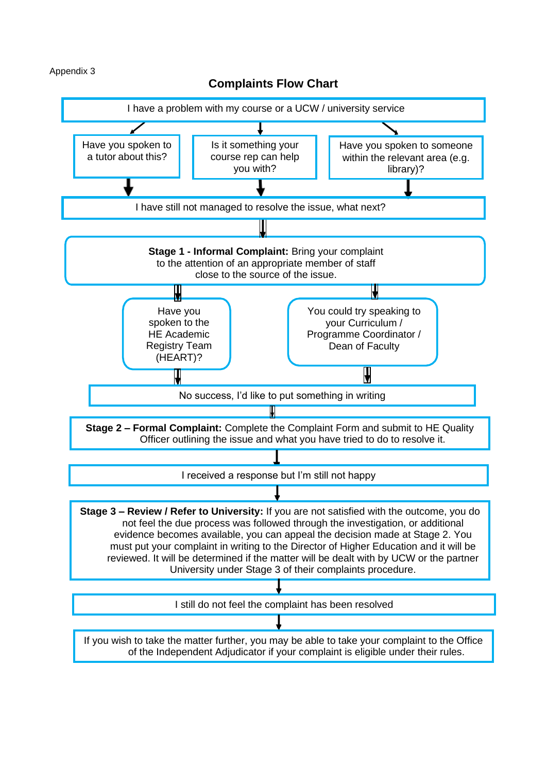## **Complaints Flow Chart**

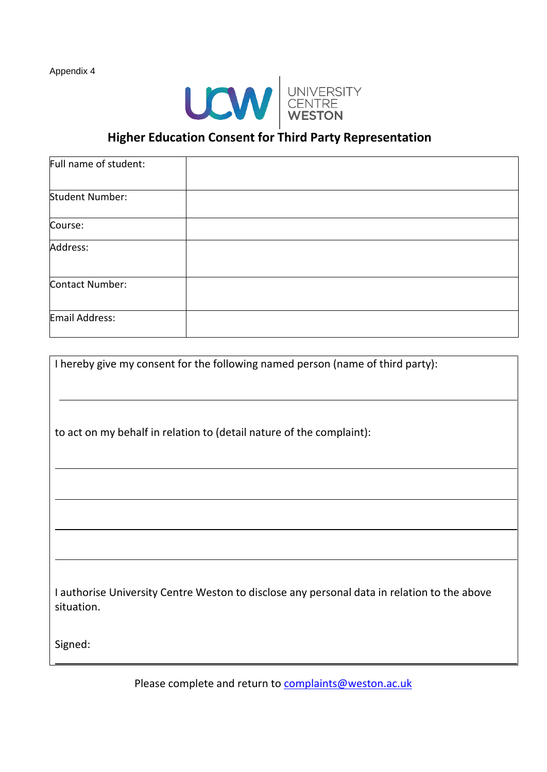

# **Higher Education Consent for Third Party Representation**

| Full name of student: |  |
|-----------------------|--|
| Student Number:       |  |
| Course:               |  |
| Address:              |  |
| Contact Number:       |  |
| Email Address:        |  |

| to act on my behalf in relation to (detail nature of the complaint):                                      |
|-----------------------------------------------------------------------------------------------------------|
|                                                                                                           |
|                                                                                                           |
|                                                                                                           |
|                                                                                                           |
| I authorise University Centre Weston to disclose any personal data in relation to the above<br>situation. |
| Signed:                                                                                                   |

Please complete and return to [complaints@weston.ac.uk](mailto:complaints@weston.ac.uk)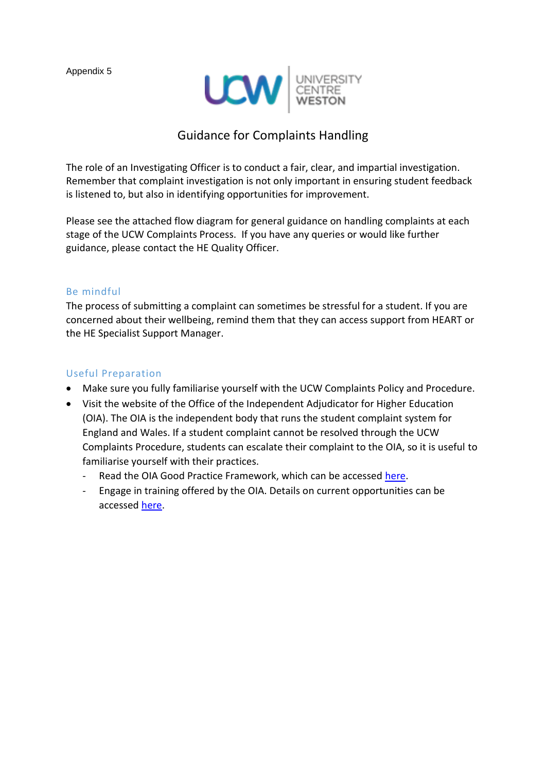

## Guidance for Complaints Handling

The role of an Investigating Officer is to conduct a fair, clear, and impartial investigation. Remember that complaint investigation is not only important in ensuring student feedback is listened to, but also in identifying opportunities for improvement.

Please see the attached flow diagram for general guidance on handling complaints at each stage of the UCW Complaints Process. If you have any queries or would like further guidance, please contact the HE Quality Officer.

### Be mindful

The process of submitting a complaint can sometimes be stressful for a student. If you are concerned about their wellbeing, remind them that they can access support from HEART or the HE Specialist Support Manager.

### Useful Preparation

- Make sure you fully familiarise yourself with the UCW Complaints Policy and Procedure.
- Visit the website of the Office of the Independent Adjudicator for Higher Education (OIA). The OIA is the independent body that runs the student complaint system for England and Wales. If a student complaint cannot be resolved through the UCW Complaints Procedure, students can escalate their complaint to the OIA, so it is useful to familiarise yourself with their practices.
	- Read the OIA Good Practice Framework, which can be accessed [here.](https://www.oiahe.org.uk/resources-and-publications/good-practice-framework/)
	- Engage in training offered by the OIA. Details on current opportunities can be accessed [here.](https://www.oiahe.org.uk/about-us/sharing-learning/outreach-and-events/)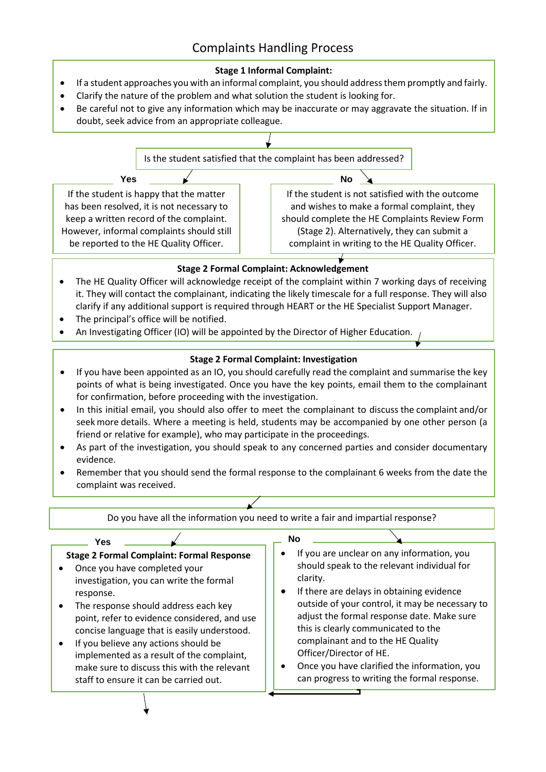## Complaints Handling Process

### **Stage 1 Informal Complaint:**

- If a student approaches you with an informal complaint, you should address them promptly and fairly.
- Clarify the nature of the problem and what solution the student is looking for.
- Be careful not to give any information which may be inaccurate or may aggravate the situation. If in doubt, seek advice from an appropriate colleague.



## **Stage 2 Formal Complaint: Acknowledgement**

- The HE Quality Officer will acknowledge receipt of the complaint within 7 working days of receiving it. They will contact the complainant, indicating the likely timescale for a full response. They will also clarify if any additional support is required through HEART or the HE Specialist Support Manager.
- The principal's office will be notified.
- An Investigating Officer (IO) will be appointed by the Director of Higher Education.

## **Stage 2 Formal Complaint: Investigation**

- If you have been appointed as an IO, you should carefully read the complaint and summarise the key points of what is being investigated. Once you have the key points, email them to the complainant for confirmation, before proceeding with the investigation.
- In this initial email, you should also offer to meet the complainant to discuss the complaint and/or seek more details. Where a meeting is held, students may be accompanied by one other person (a friend or relative for example), who may participate in the proceedings.
- As part of the investigation, you should speak to any concerned parties and consider documentary evidence.
- Remember that you should send the formal response to the complainant 6 weeks from the date the complaint was received.

Do you have all the information you need to write a fair and impartial response?



•

- **No**
- If you are unclear on any information, you should speak to the relevant individual for clarity.
- If there are delays in obtaining evidence outside of your control, it may be necessary to adjust the formal response date. Make sure this is clearly communicated to the complainant and to the HE Quality Officer/Director of HE.
- Once you have clarified the information, you can progress to writing the formal response.

−т